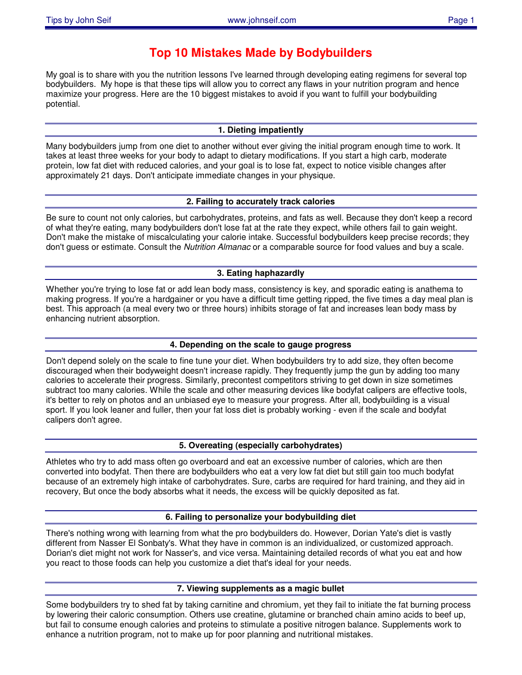# **Top 10 Mistakes Made by Bodybuilders**

My goal is to share with you the nutrition lessons I've learned through developing eating regimens for several top bodybuilders. My hope is that these tips will allow you to correct any flaws in your nutrition program and hence maximize your progress. Here are the 10 biggest mistakes to avoid if you want to fulfill your bodybuilding potential.

#### **1. Dieting impatiently**

Many bodybuilders jump from one diet to another without ever giving the initial program enough time to work. It takes at least three weeks for your body to adapt to dietary modifications. If you start a high carb, moderate protein, low fat diet with reduced calories, and your goal is to lose fat, expect to notice visible changes after approximately 21 days. Don't anticipate immediate changes in your physique.

#### **2. Failing to accurately track calories**

Be sure to count not only calories, but carbohydrates, proteins, and fats as well. Because they don't keep a record of what they're eating, many bodybuilders don't lose fat at the rate they expect, while others fail to gain weight. Don't make the mistake of miscalculating your calorie intake. Successful bodybuilders keep precise records; they don't guess or estimate. Consult the *Nutrition Almanac* or a comparable source for food values and buy a scale.

## **3. Eating haphazardly**

Whether you're trying to lose fat or add lean body mass, consistency is key, and sporadic eating is anathema to making progress. If you're a hardgainer or you have a difficult time getting ripped, the five times a day meal plan is best. This approach (a meal every two or three hours) inhibits storage of fat and increases lean body mass by enhancing nutrient absorption.

#### **4. Depending on the scale to gauge progress**

Don't depend solely on the scale to fine tune your diet. When bodybuilders try to add size, they often become discouraged when their bodyweight doesn't increase rapidly. They frequently jump the gun by adding too many calories to accelerate their progress. Similarly, precontest competitors striving to get down in size sometimes subtract too many calories. While the scale and other measuring devices like bodyfat calipers are effective tools, it's better to rely on photos and an unbiased eye to measure your progress. After all, bodybuilding is a visual sport. If you look leaner and fuller, then your fat loss diet is probably working - even if the scale and bodyfat calipers don't agree.

#### **5. Overeating (especially carbohydrates)**

Athletes who try to add mass often go overboard and eat an excessive number of calories, which are then converted into bodyfat. Then there are bodybuilders who eat a very low fat diet but still gain too much bodyfat because of an extremely high intake of carbohydrates. Sure, carbs are required for hard training, and they aid in recovery, But once the body absorbs what it needs, the excess will be quickly deposited as fat.

#### **6. Failing to personalize your bodybuilding diet**

There's nothing wrong with learning from what the pro bodybuilders do. However, Dorian Yate's diet is vastly different from Nasser El Sonbaty's. What they have in common is an individualized, or customized approach. Dorian's diet might not work for Nasser's, and vice versa. Maintaining detailed records of what you eat and how you react to those foods can help you customize a diet that's ideal for your needs.

#### **7. Viewing supplements as a magic bullet**

Some bodybuilders try to shed fat by taking carnitine and chromium, yet they fail to initiate the fat burning process by lowering their caloric consumption. Others use creatine, glutamine or branched chain amino acids to beef up, but fail to consume enough calories and proteins to stimulate a positive nitrogen balance. Supplements work to enhance a nutrition program, not to make up for poor planning and nutritional mistakes.